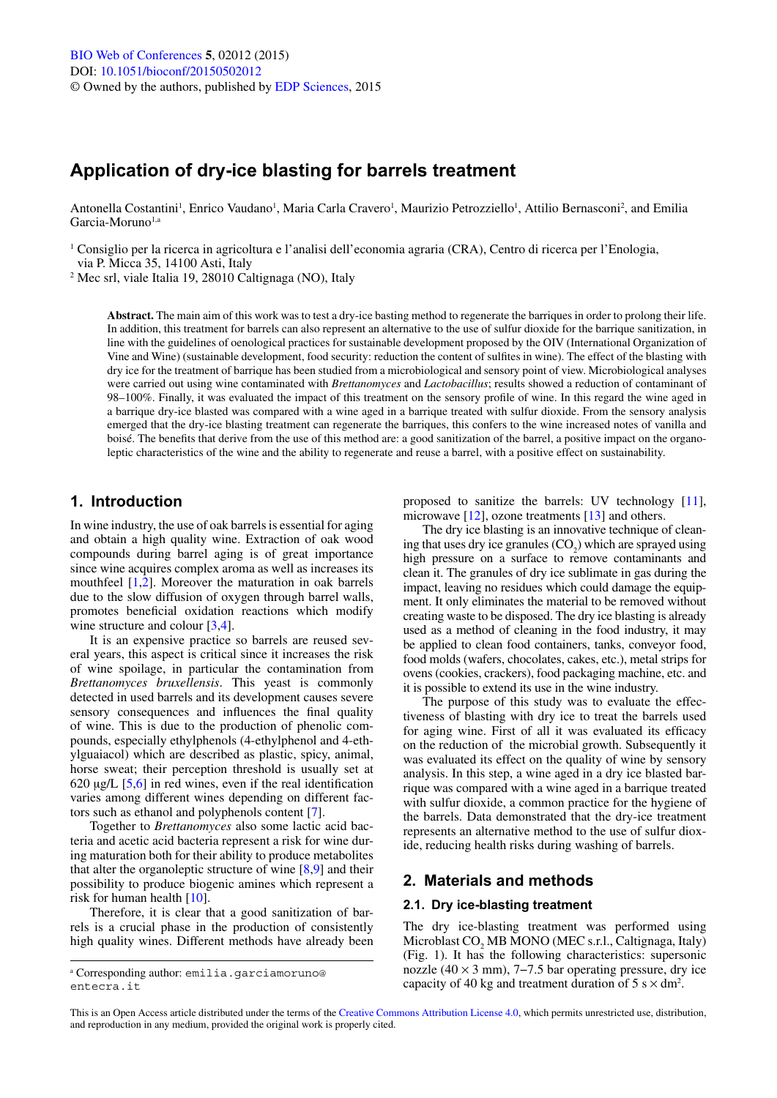# **Application of dry-ice blasting for barrels treatment**

Antonella Costantini<sup>1</sup>, Enrico Vaudano<sup>1</sup>, Maria Carla Cravero<sup>1</sup>, Maurizio Petrozziello<sup>1</sup>, Attilio Bernasconi<sup>2</sup>, and Emilia Garcia-Moruno<sup>1,a</sup>

<sup>1</sup> Consiglio per la ricerca in agricoltura e l'analisi dell'economia agraria (CRA), Centro di ricerca per l'Enologia, via P. Micca 35, 14100 Asti, Italy

<sup>2</sup> Mec srl, viale Italia 19, 28010 Caltignaga (NO), Italy

**Abstract.** The main aim of this work was to test a dry-ice basting method to regenerate the barriques in order to prolong their life. In addition, this treatment for barrels can also represent an alternative to the use of sulfur dioxide for the barrique sanitization, in line with the guidelines of oenological practices for sustainable development proposed by the OIV (International Organization of Vine and Wine) (sustainable development, food security: reduction the content of sulfites in wine). The effect of the blasting with dry ice for the treatment of barrique has been studied from a microbiological and sensory point of view. Microbiological analyses were carried out using wine contaminated with *Brettanomyces* and *Lactobacillus*; results showed a reduction of contaminant of 98–100%. Finally, it was evaluated the impact of this treatment on the sensory profile of wine. In this regard the wine aged in a barrique dry-ice blasted was compared with a wine aged in a barrique treated with sulfur dioxide. From the sensory analysis emerged that the dry-ice blasting treatment can regenerate the barriques, this confers to the wine increased notes of vanilla and boisé. The benefits that derive from the use of this method are: a good sanitization of the barrel, a positive impact on the organoleptic characteristics of the wine and the ability to regenerate and reuse a barrel, with a positive effect on sustainability.

# **1. Introduction**

In wine industry, the use of oak barrels is essential for aging and obtain a high quality wine. Extraction of oak wood compounds during barrel aging is of great importance since wine acquires complex aroma as well as increases its mouthfeel [\[1](#page-3-0),[2\]](#page-3-1). Moreover the maturation in oak barrels due to the slow diffusion of oxygen through barrel walls, promotes beneficial oxidation reactions which modify wine structure and colour [[3,](#page-3-2)[4](#page-3-3)].

It is an expensive practice so barrels are reused several years, this aspect is critical since it increases the risk of wine spoilage, in particular the contamination from *Brettanomyces bruxellensis*. This yeast is commonly detected in used barrels and its development causes severe sensory consequences and influences the final quality of wine. This is due to the production of phenolic compounds, especially ethylphenols (4-ethylphenol and 4-ethylguaiacol) which are described as plastic, spicy, animal, horse sweat; their perception threshold is usually set at  $620 \mu g/L$  [[5](#page-3-4)[,6](#page-3-5)] in red wines, even if the real identification varies among different wines depending on different factors such as ethanol and polyphenols content [[7\]](#page-3-6).

Together to *Brettanomyces* also some lactic acid bacteria and acetic acid bacteria represent a risk for wine during maturation both for their ability to produce metabolites that alter the organoleptic structure of wine  $[8,9]$  $[8,9]$  $[8,9]$  $[8,9]$  and their possibility to produce biogenic amines which represent a risk for human health [[10\]](#page-3-9).

Therefore, it is clear that a good sanitization of barrels is a crucial phase in the production of consistently high quality wines. Different methods have already been proposed to sanitize the barrels: UV technology [[11\]](#page-3-10), microwave  $[12]$  $[12]$ , ozone treatments  $[13]$  $[13]$  and others.

The dry ice blasting is an innovative technique of cleaning that uses dry ice granules  $(CO_2)$  which are sprayed using high pressure on a surface to remove contaminants and clean it. The granules of dry ice sublimate in gas during the impact, leaving no residues which could damage the equipment. It only eliminates the material to be removed without creating waste to be disposed. The dry ice blasting is already used as a method of cleaning in the food industry, it may be applied to clean food containers, tanks, conveyor food, food molds (wafers, chocolates, cakes, etc.), metal strips for ovens (cookies, crackers), food packaging machine, etc. and it is possible to extend its use in the wine industry.

The purpose of this study was to evaluate the effectiveness of blasting with dry ice to treat the barrels used for aging wine. First of all it was evaluated its efficacy on the reduction of the microbial growth. Subsequently it was evaluated its effect on the quality of wine by sensory analysis. In this step, a wine aged in a dry ice blasted barrique was compared with a wine aged in a barrique treated with sulfur dioxide, a common practice for the hygiene of the barrels. Data demonstrated that the dry-ice treatment represents an alternative method to the use of sulfur dioxide, reducing health risks during washing of barrels.

# **2. Materials and methods**

### **2.1. Dry ice-blasting treatment**

The dry ice-blasting treatment was performed using Microblast CO<sub>2</sub> MB MONO (MEC s.r.l., Caltignaga, Italy) (Fig. 1). It has the following characteristics: supersonic nozzle  $(40 \times 3 \text{ mm})$ , 7–7.5 bar operating pressure, dry ice capacity of 40 kg and treatment duration of  $5 \text{ s} \times \text{dm}^2$ .

a Corresponding author: emilia.garciamoruno@ entecra.it

This is an Open Access article distributed under the terms of the [Creative Commons Attribution License 4.0](http://creativecommons.org/licenses/by/4.0/), which permits unrestricted use, distribution, and reproduction in any medium, provided the original work is properly cited.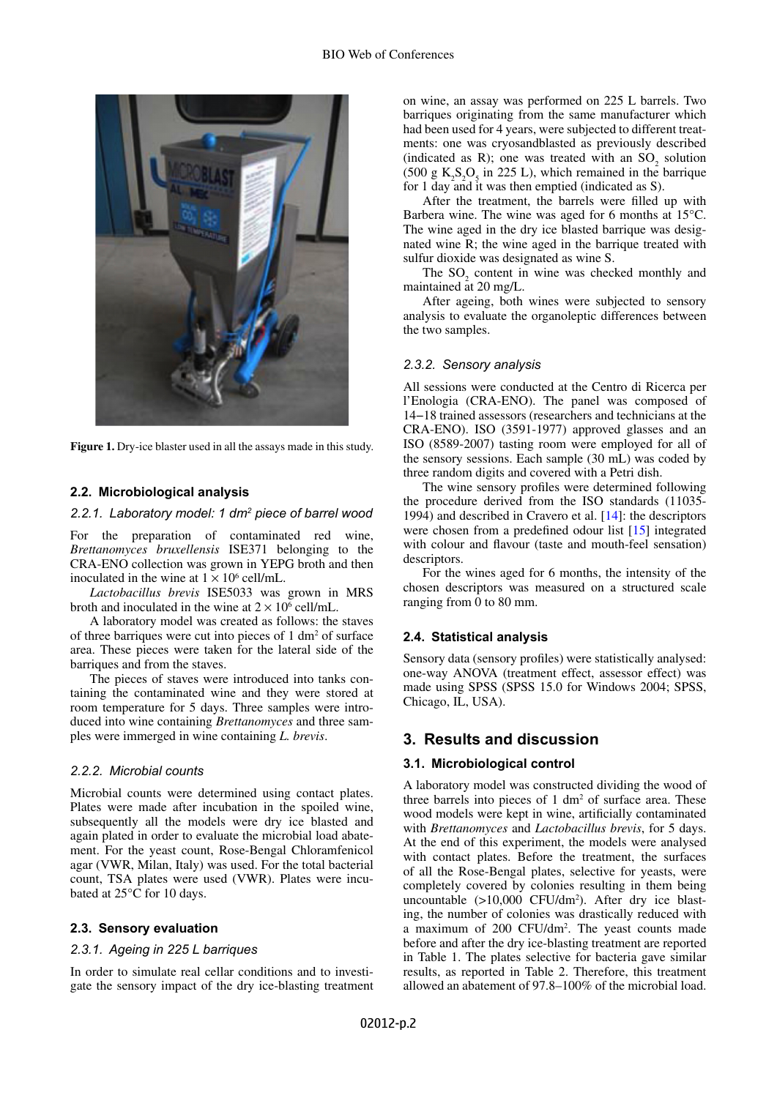

**Figure 1.** Dry-ice blaster used in all the assays made in this study.

### **2.2. Microbiological analysis**

#### *2.2.1. Laboratory model: 1 dm2 piece of barrel wood*

For the preparation of contaminated red wine, *Brettanomyces bruxellensis* ISE371 belonging to the CRA-ENO collection was grown in YEPG broth and then inoculated in the wine at  $1 \times 10^6$  cell/mL.

*Lactobacillus brevis* ISE5033 was grown in MRS broth and inoculated in the wine at  $2 \times 10^6$  cell/mL.

A laboratory model was created as follows: the staves of three barriques were cut into pieces of  $1 \text{ dm}^2$  of surface area. These pieces were taken for the lateral side of the barriques and from the staves.

The pieces of staves were introduced into tanks containing the contaminated wine and they were stored at room temperature for 5 days. Three samples were introduced into wine containing *Brettanomyces* and three samples were immerged in wine containing *L. brevis*.

## *2.2.2. Microbial counts*

Microbial counts were determined using contact plates. Plates were made after incubation in the spoiled wine, subsequently all the models were dry ice blasted and again plated in order to evaluate the microbial load abatement. For the yeast count, Rose-Bengal Chloramfenicol agar (VWR, Milan, Italy) was used. For the total bacterial count, TSA plates were used (VWR). Plates were incubated at 25°C for 10 days.

#### **2.3. Sensory evaluation**

#### *2.3.1. Ageing in 225 L barriques*

In order to simulate real cellar conditions and to investigate the sensory impact of the dry ice-blasting treatment on wine, an assay was performed on 225 L barrels. Two barriques originating from the same manufacturer which had been used for 4 years, were subjected to different treatments: one was cryosandblasted as previously described (indicated as R); one was treated with an  $SO_2$  solution  $(500 \text{ g } K_2 S_2 O_5 \text{ in } 225 \text{ L})$ , which remained in the barrique for 1 day and it was then emptied (indicated as S).

After the treatment, the barrels were filled up with Barbera wine. The wine was aged for 6 months at 15°C. The wine aged in the dry ice blasted barrique was designated wine R; the wine aged in the barrique treated with sulfur dioxide was designated as wine S.

The  $SO_2$  content in wine was checked monthly and maintained at 20 mg/L.

After ageing, both wines were subjected to sensory analysis to evaluate the organoleptic differences between the two samples.

#### *2.3.2. Sensory analysis*

All sessions were conducted at the Centro di Ricerca per l'Enologia (CRA-ENO). The panel was composed of 14−18 trained assessors (researchers and technicians at the CRA-ENO). ISO (3591-1977) approved glasses and an ISO (8589-2007) tasting room were employed for all of the sensory sessions. Each sample (30 mL) was coded by three random digits and covered with a Petri dish.

The wine sensory profiles were determined following the procedure derived from the ISO standards (11035- 1994) and described in Cravero et al. [[14\]](#page-3-13): the descriptors were chosen from a predefined odour list [[15\]](#page-3-14) integrated with colour and flavour (taste and mouth-feel sensation) descriptors.

For the wines aged for 6 months, the intensity of the chosen descriptors was measured on a structured scale ranging from 0 to 80 mm.

#### **2.4. Statistical analysis**

Sensory data (sensory profiles) were statistically analysed: one-way ANOVA (treatment effect, assessor effect) was made using SPSS (SPSS 15.0 for Windows 2004; SPSS, Chicago, IL, USA).

# **3. Results and discussion**

# **3.1. Microbiological control**

A laboratory model was constructed dividing the wood of three barrels into pieces of  $1 \, \text{dm}^2$  of surface area. These wood models were kept in wine, artificially contaminated with *Brettanomyces* and *Lactobacillus brevis*, for 5 days. At the end of this experiment, the models were analysed with contact plates. Before the treatment, the surfaces of all the Rose-Bengal plates, selective for yeasts, were completely covered by colonies resulting in them being uncountable (>10,000 CFU/dm<sup>2</sup>). After dry ice blasting, the number of colonies was drastically reduced with a maximum of 200 CFU/dm<sup>2</sup>. The yeast counts made before and after the dry ice-blasting treatment are reported in Table 1. The plates selective for bacteria gave similar results, as reported in Table 2. Therefore, this treatment allowed an abatement of 97.8–100% of the microbial load.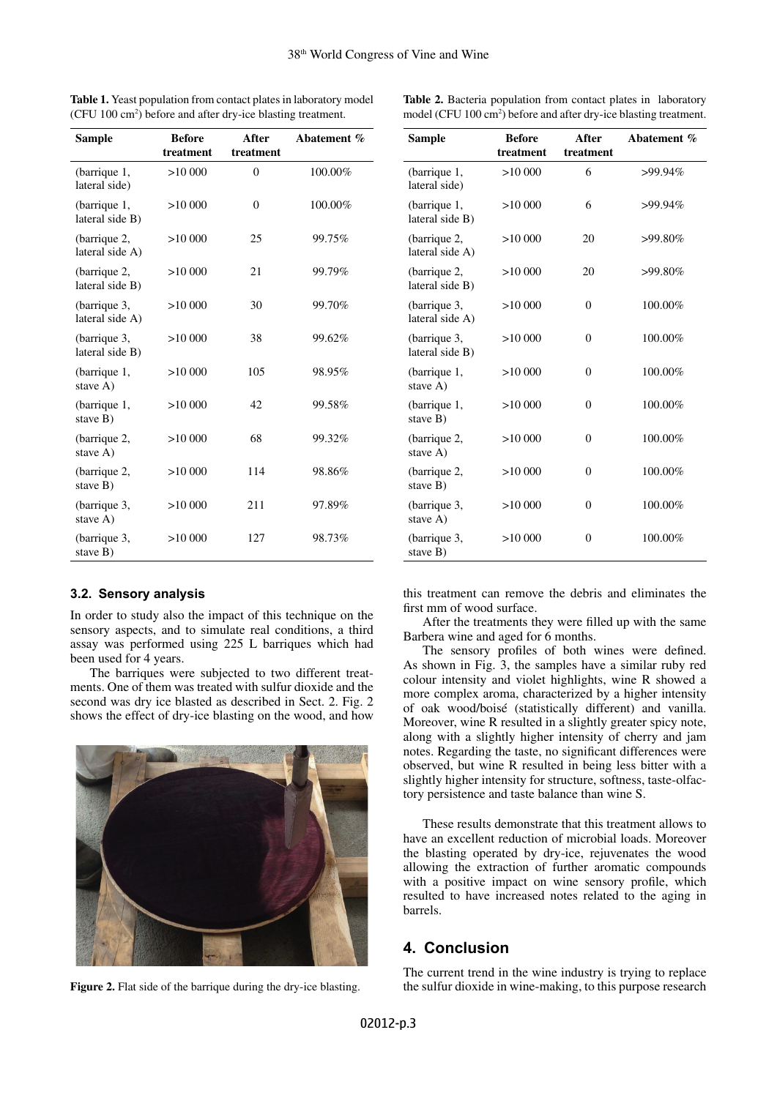| Sample                          | <b>Before</b><br>treatment | After<br>treatment | Abatement % |
|---------------------------------|----------------------------|--------------------|-------------|
| (barrique 1,<br>lateral side)   | >10000                     | $\theta$           | 100.00%     |
| (barrique 1,<br>lateral side B) | >10000                     | $\theta$           | 100.00%     |
| (barrique 2,<br>lateral side A) | >10000                     | 25                 | 99.75%      |
| (barrique 2,<br>lateral side B) | >10000                     | 21                 | 99.79%      |
| (barrique 3,<br>lateral side A) | >10000                     | 30                 | 99.70%      |
| (barrique 3,<br>lateral side B) | >10000                     | 38                 | 99.62%      |
| (barrique 1,<br>stave A)        | >10000                     | 105                | 98.95%      |
| (barrique 1,<br>stave B)        | >10000                     | 42                 | 99.58%      |
| (barrique 2,<br>stave A)        | >10000                     | 68                 | 99.32%      |
| (barrique 2,<br>stave B)        | >10000                     | 114                | 98.86%      |
| (barrique 3,<br>stave A)        | >10000                     | 211                | 97.89%      |
| (barrique 3,<br>stave B)        | >10000                     | 127                | 98.73%      |

**Table 1.** Yeast population from contact plates in laboratory model (CFU 100 cm2 ) before and after dry-ice blasting treatment.

**Table 2.** Bacteria population from contact plates in laboratory model (CFU 100 cm<sup>2</sup>) before and after dry-ice blasting treatment.

> **After treatment**

>10 000 6 >99.94%

**Abatement %**

**treatment**

**Sample Before** 

(barrique 1, lateral side)

#### (barrique 1, lateral side B) >10 000 6 >99.94% (barrique 2, lateral side A)  $>10,000$  20  $>99.80\%$ (barrique 2, lateral side B) >10 000 20 >99.80% (barrique 3, lateral side A)  $>10000$  0 100.00% (barrique 3, lateral side B)  $>10000$  0 100.00% (barrique 1, stave A)  $>10000$  0 100.00% (barrique 1, stave  $\overline{B}$ )  $>10000$  0 100.00% (barrique 2, stave A)  $>10000$  0 100.00% (barrique 2, stave B)  $>10000$  0 100.00% (barrique 3, stave A)  $>10000$  0 100.00% (barrique 3, stave B)  $>10000$  0 100.00%

# **3.2. Sensory analysis**

In order to study also the impact of this technique on the sensory aspects, and to simulate real conditions, a third assay was performed using 225 L barriques which had been used for 4 years.

The barriques were subjected to two different treatments. One of them was treated with sulfur dioxide and the second was dry ice blasted as described in Sect. 2. Fig. 2 shows the effect of dry-ice blasting on the wood, and how



this treatment can remove the debris and eliminates the first mm of wood surface.

After the treatments they were filled up with the same Barbera wine and aged for 6 months.

The sensory profiles of both wines were defined. As shown in Fig. 3, the samples have a similar ruby red colour intensity and violet highlights, wine R showed a more complex aroma, characterized by a higher intensity of oak wood/boisé (statistically different) and vanilla. Moreover, wine R resulted in a slightly greater spicy note, along with a slightly higher intensity of cherry and jam notes. Regarding the taste, no significant differences were observed, but wine R resulted in being less bitter with a slightly higher intensity for structure, softness, taste-olfactory persistence and taste balance than wine S.

These results demonstrate that this treatment allows to have an excellent reduction of microbial loads. Moreover the blasting operated by dry-ice, rejuvenates the wood allowing the extraction of further aromatic compounds with a positive impact on wine sensory profile, which resulted to have increased notes related to the aging in barrels.

# **4. Conclusion**

The current trend in the wine industry is trying to replace **Figure 2.** Flat side of the barrique during the dry-ice blasting. the sulfur dioxide in wine-making, to this purpose research